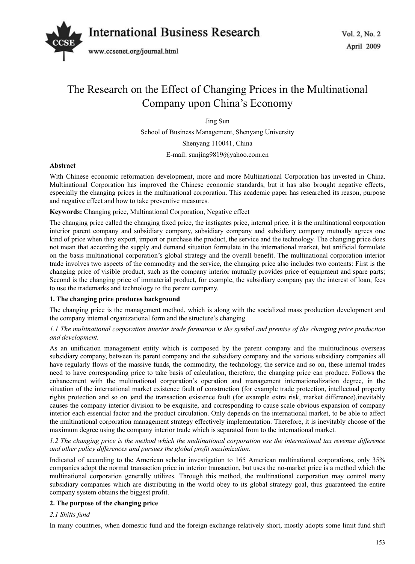

# The Research on the Effect of Changing Prices in the Multinational Company upon China's Economy

Jing Sun

School of Business Management, Shenyang University

Shenyang 110041, China

E-mail: sunjing9819@yahoo.com.cn

## **Abstract**

With Chinese economic reformation development, more and more Multinational Corporation has invested in China. Multinational Corporation has improved the Chinese economic standards, but it has also brought negative effects, especially the changing prices in the multinational corporation. This academic paper has researched its reason, purpose and negative effect and how to take preventive measures.

## **Keywords:** Changing price, Multinational Corporation, Negative effect

The changing price called the changing fixed price, the instigates price, internal price, it is the multinational corporation interior parent company and subsidiary company, subsidiary company and subsidiary company mutually agrees one kind of price when they export, import or purchase the product, the service and the technology. The changing price does not mean that according the supply and demand situation formulate in the international market, but artificial formulate on the basis multinational corporation's global strategy and the overall benefit. The multinational corporation interior trade involves two aspects of the commodity and the service, the changing price also includes two contents: First is the changing price of visible product, such as the company interior mutually provides price of equipment and spare parts; Second is the changing price of immaterial product, for example, the subsidiary company pay the interest of loan, fees to use the trademarks and technology to the parent company.

#### **1. The changing price produces background**

The changing price is the management method, which is along with the socialized mass production development and the company internal organizational form and the structure's changing.

## *1.1 The multinational corporation interior trade formation is the symbol and premise of the changing price production and development.*

As an unification management entity which is composed by the parent company and the multitudinous overseas subsidiary company, between its parent company and the subsidiary company and the various subsidiary companies all have regularly flows of the massive funds, the commodity, the technology, the service and so on, these internal trades need to have corresponding price to take basis of calculation, therefore, the changing price can produce. Follows the enhancement with the multinational corporation's operation and management internationalization degree, in the situation of the international market existence fault of construction (for example trade protection, intellectual property rights protection and so on )and the transaction existence fault (for example extra risk, market difference),inevitably causes the company interior division to be exquisite, and corresponding to cause scale obvious expansion of company interior each essential factor and the product circulation. Only depends on the international market, to be able to affect the multinational corporation management strategy effectively implementation. Therefore, it is inevitably choose of the maximum degree using the company interior trade which is separated from to the international market.

## *1.2 The changing price is the method which the multinational corporation use the international tax revenue difference and other policy differences and pursues the global profit maximization.*

Indicated of according to the American scholar investigation to 165 American multinational corporations, only 35% companies adopt the normal transaction price in interior transaction, but uses the no-market price is a method which the multinational corporation generally utilizes. Through this method, the multinational corporation may control many subsidiary companies which are distributing in the world obey to its global strategy goal, thus guaranteed the entire company system obtains the biggest profit.

# **2. The purpose of the changing price**

#### *2.1 Shifts fund*

In many countries, when domestic fund and the foreign exchange relatively short, mostly adopts some limit fund shift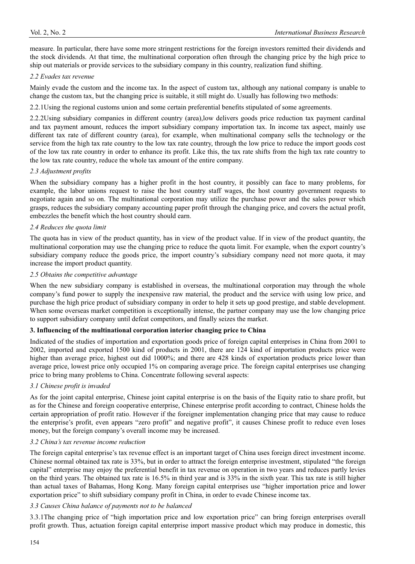measure. In particular, there have some more stringent restrictions for the foreign investors remitted their dividends and the stock dividends. At that time, the multinational corporation often through the changing price by the high price to ship out materials or provide services to the subsidiary company in this country, realization fund shifting.

#### *2.2 Evades tax revenue*

Mainly evade the custom and the income tax. In the aspect of custom tax, although any national company is unable to change the custom tax, but the changing price is suitable, it still might do. Usually has following two methods:

2.2.1Using the regional customs union and some certain preferential benefits stipulated of some agreements.

2.2.2Using subsidiary companies in different country (area),low delivers goods price reduction tax payment cardinal and tax payment amount, reduces the import subsidiary company importation tax. In income tax aspect, mainly use different tax rate of different country (area), for example, when multinational company sells the technology or the service from the high tax rate country to the low tax rate country, through the low price to reduce the import goods cost of the low tax rate country in order to enhance its profit. Like this, the tax rate shifts from the high tax rate country to the low tax rate country, reduce the whole tax amount of the entire company.

## *2.3 Adjustment profits*

When the subsidiary company has a higher profit in the host country, it possibly can face to many problems, for example, the labor unions request to raise the host country staff wages, the host country government requests to negotiate again and so on. The multinational corporation may utilize the purchase power and the sales power which grasps, reduces the subsidiary company accounting paper profit through the changing price, and covers the actual profit, embezzles the benefit which the host country should earn.

## *2.4 Reduces the quota limit*

The quota has in view of the product quantity, has in view of the product value. If in view of the product quantity, the multinational corporation may use the changing price to reduce the quota limit. For example, when the export country's subsidiary company reduce the goods price, the import country's subsidiary company need not more quota, it may increase the import product quantity.

*2.5 Obtains the competitive advantage*

When the new subsidiary company is established in overseas, the multinational corporation may through the whole company's fund power to supply the inexpensive raw material, the product and the service with using low price, and purchase the high price product of subsidiary company in order to help it sets up good prestige, and stable development. When some overseas market competition is exceptionally intense, the partner company may use the low changing price to support subsidiary company until defeat competitors, and finally seizes the market.

#### **3. Influencing of the multinational corporation interior changing price to China**

Indicated of the studies of importation and exportation goods price of foreign capital enterprises in China from 2001 to 2002, imported and exported 1500 kind of products in 2001, there are 124 kind of importation products price were higher than average price, highest out did 1000%; and there are 428 kinds of exportation products price lower than average price, lowest price only occupied 1% on comparing average price. The foreign capital enterprises use changing price to bring many problems to China. Concentrate following several aspects:

# *3.1 Chinese profit is invaded*

As for the joint capital enterprise, Chinese joint capital enterprise is on the basis of the Equity ratio to share profit, but as for the Chinese and foreign cooperative enterprise, Chinese enterprise profit according to contract, Chinese holds the certain appropriation of profit ratio. However if the foreigner implementation changing price that may cause to reduce the enterprise's profit, even appears "zero profit" and negative profit", it causes Chinese profit to reduce even loses money, but the foreign company's overall income may be increased.

# *3.2 China's tax revenue income reduction*

The foreign capital enterprise's tax revenue effect is an important target of China uses foreign direct investment income. Chinese normal obtained tax rate is 33%, but in order to attract the foreign enterprise investment, stipulated "the foreign capital" enterprise may enjoy the preferential benefit in tax revenue on operation in two years and reduces partly levies on the third years. The obtained tax rate is 16.5% in third year and is 33% in the sixth year. This tax rate is still higher than actual taxes of Bahamas, Hong Kong. Many foreign capital enterprises use "higher importation price and lower exportation price" to shift subsidiary company profit in China, in order to evade Chinese income tax.

#### *3.3 Causes China balance of payments not to be balanced*

3.3.1The changing price of "high importation price and low exportation price" can bring foreign enterprises overall profit growth. Thus, actuation foreign capital enterprise import massive product which may produce in domestic, this